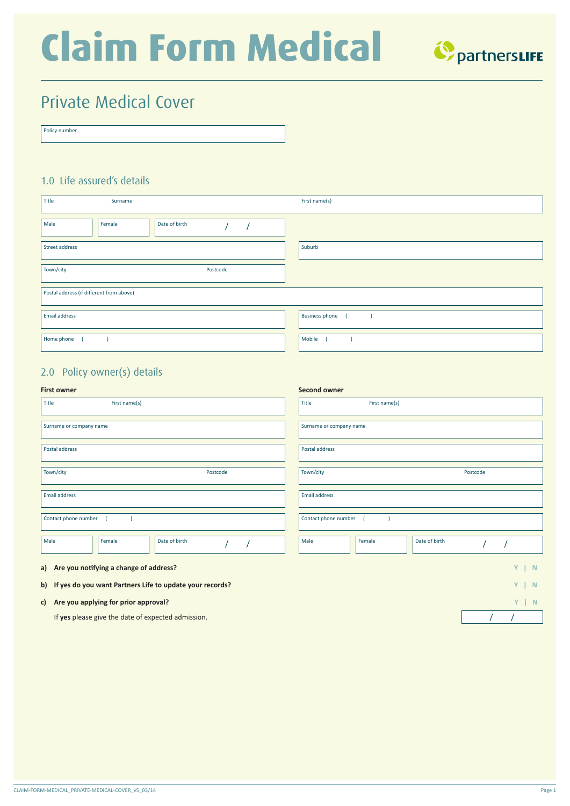# **Claim Form Medical**



## Private Medical Cover

| Policy number |  |  |
|---------------|--|--|
|               |  |  |
|               |  |  |

### 1.0 Life assured's details

| Title                | Surname                                  |               |  |  | First name(s)         |  |  |  |
|----------------------|------------------------------------------|---------------|--|--|-----------------------|--|--|--|
| Male                 | Female                                   | Date of birth |  |  |                       |  |  |  |
| Street address       |                                          |               |  |  | Suburb                |  |  |  |
| Town/city            |                                          | Postcode      |  |  |                       |  |  |  |
|                      | Postal address (if different from above) |               |  |  |                       |  |  |  |
| <b>Email address</b> |                                          |               |  |  | <b>Business phone</b> |  |  |  |
| Home phone           |                                          |               |  |  | Mobile                |  |  |  |

### 2.0 Policy owner(s) details

### **First owner**

| <b>First owner</b>                                          | Second owner                    |  |  |  |  |  |  |  |
|-------------------------------------------------------------|---------------------------------|--|--|--|--|--|--|--|
| First name(s)<br>Title                                      | First name(s)<br>Title          |  |  |  |  |  |  |  |
| Surname or company name                                     | Surname or company name         |  |  |  |  |  |  |  |
| Postal address                                              | Postal address                  |  |  |  |  |  |  |  |
| Town/city<br>Postcode                                       | Town/city<br>Postcode           |  |  |  |  |  |  |  |
| <b>Email address</b>                                        | <b>Email address</b>            |  |  |  |  |  |  |  |
| Contact phone number                                        | Contact phone number            |  |  |  |  |  |  |  |
| Male<br>Date of birth<br>Female                             | Male<br>Date of birth<br>Female |  |  |  |  |  |  |  |
| a) Are you notifying a change of address?                   | $Y \mid N$                      |  |  |  |  |  |  |  |
| b) If yes do you want Partners Life to update your records? | $Y \mid N$                      |  |  |  |  |  |  |  |
| c) Are you applying for prior approval?                     | $Y \mid N$                      |  |  |  |  |  |  |  |

If **yes** please give the date of expected admission. / /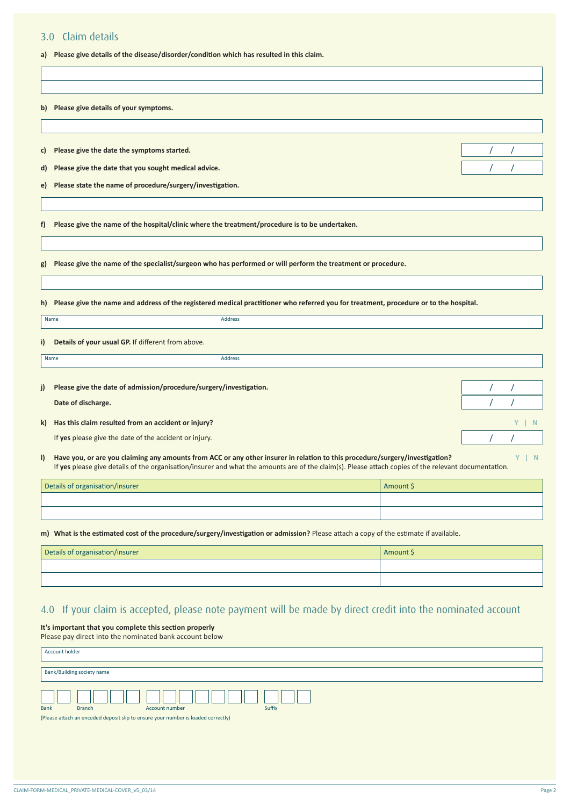### 3.0 Claim details

**a) Please give details of the disease/disorder/condition which has resulted in this claim.**

|              | b) Please give details of your symptoms.                                                                                                             |           |                |
|--------------|------------------------------------------------------------------------------------------------------------------------------------------------------|-----------|----------------|
|              |                                                                                                                                                      |           |                |
|              |                                                                                                                                                      |           |                |
| C)           | Please give the date the symptoms started.                                                                                                           |           |                |
| d)           | Please give the date that you sought medical advice.                                                                                                 |           |                |
| e) —         | Please state the name of procedure/surgery/investigation.                                                                                            |           |                |
|              |                                                                                                                                                      |           |                |
|              |                                                                                                                                                      |           |                |
| f)           | Please give the name of the hospital/clinic where the treatment/procedure is to be undertaken.                                                       |           |                |
|              |                                                                                                                                                      |           |                |
|              |                                                                                                                                                      |           |                |
| g)           | Please give the name of the specialist/surgeon who has performed or will perform the treatment or procedure.                                         |           |                |
|              |                                                                                                                                                      |           |                |
|              | h) Please give the name and address of the registered medical practitioner who referred you for treatment, procedure or to the hospital.             |           |                |
|              |                                                                                                                                                      |           |                |
|              | Name<br><b>Address</b>                                                                                                                               |           |                |
| i)           | Details of your usual GP. If different from above.                                                                                                   |           |                |
|              | <b>Address</b><br>Name                                                                                                                               |           |                |
|              |                                                                                                                                                      |           |                |
| j)           | Please give the date of admission/procedure/surgery/investigation.                                                                                   |           |                |
|              | Date of discharge.                                                                                                                                   |           |                |
|              |                                                                                                                                                      |           |                |
| k)           | Has this claim resulted from an accident or injury?                                                                                                  |           | Y.<br>-N       |
|              | If yes please give the date of the accident or injury.                                                                                               |           |                |
| $\mathbf{I}$ | Have you, or are you claiming any amounts from ACC or any other insurer in relation to this procedure/surgery/investigation?                         |           | $\vert N$<br>Y |
|              | If yes please give details of the organisation/insurer and what the amounts are of the claim(s). Please attach copies of the relevant documentation. |           |                |
|              | Details of organisation/insurer                                                                                                                      | Amount \$ |                |
|              |                                                                                                                                                      |           |                |
|              |                                                                                                                                                      |           |                |
|              | m) What is the estimated cost of the procedure/surgery/investigation or admission? Please attach a copy of the estimate if available.                |           |                |
|              |                                                                                                                                                      |           |                |
|              | Details of organisation/insurer                                                                                                                      | Amount \$ |                |
|              |                                                                                                                                                      |           |                |

### 4.0 If your claim is accepted, please note payment will be made by direct credit into the nominated account

**It's important that you complete this section properly** Please pay direct into the nominated bank account below

| .              |                            |                                                                                   |        |
|----------------|----------------------------|-----------------------------------------------------------------------------------|--------|
| Account holder |                            |                                                                                   |        |
|                |                            |                                                                                   |        |
|                |                            |                                                                                   |        |
|                | Bank/Building society name |                                                                                   |        |
|                |                            |                                                                                   |        |
|                |                            |                                                                                   |        |
|                |                            |                                                                                   |        |
| <b>Bank</b>    | <b>Branch</b>              | Account number                                                                    | Suffix |
|                |                            | (Please attach an encoded deposit slip to ensure your number is loaded correctly) |        |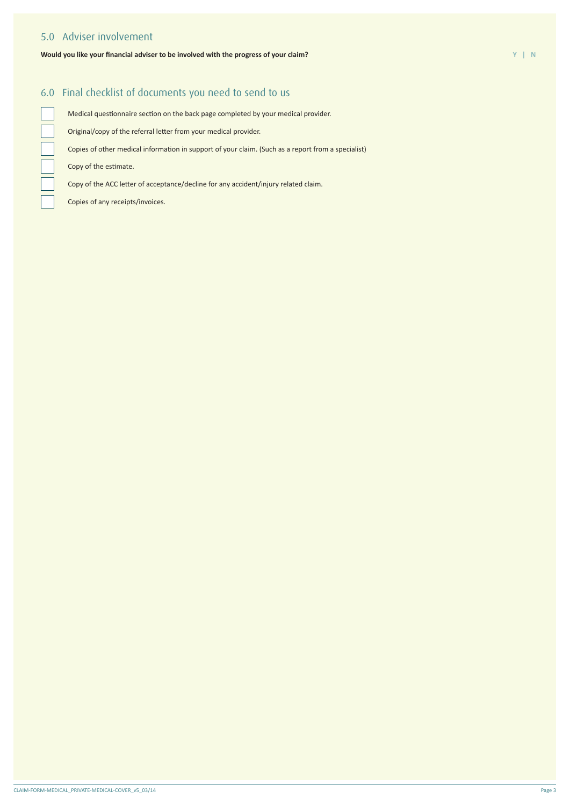### 5.0 Adviser involvement

### **Would you like your financial adviser to be involved with the progress of your claim? Y | N**

### 6.0 Final checklist of documents you need to send to us

Medical questionnaire section on the back page completed by your medical provider.

Original/copy of the referral letter from your medical provider.

Copies of other medical information in support of your claim. (Such as a report from a specialist)

Copy of the estimate.

Copy of the ACC letter of acceptance/decline for any accident/injury related claim.

Copies of any receipts/invoices.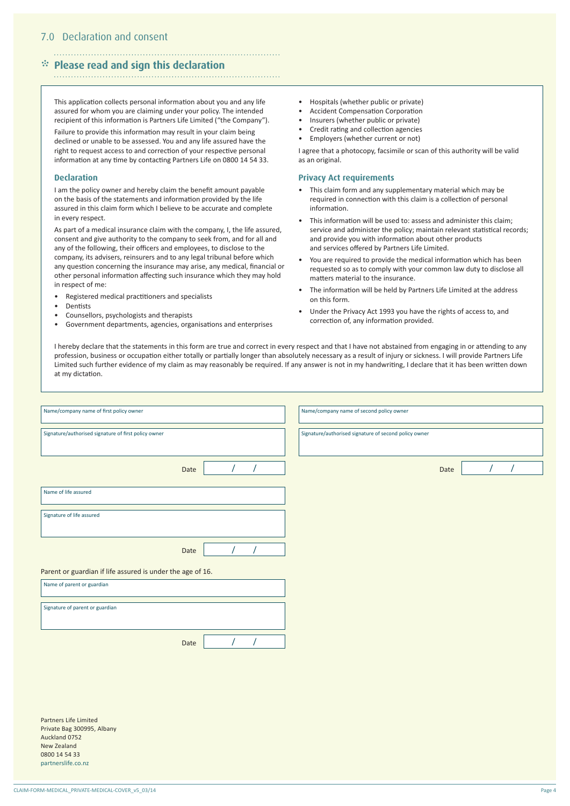### \* **Please read and sign this declaration**

This application collects personal information about you and any life assured for whom you are claiming under your policy. The intended recipient of this information is Partners Life Limited ("the Company").

Failure to provide this information may result in your claim being declined or unable to be assessed. You and any life assured have the right to request access to and correction of your respective personal information at any time by contacting Partners Life on 0800 14 54 33.

### **Declaration**

I am the policy owner and hereby claim the benefit amount payable on the basis of the statements and information provided by the life assured in this claim form which I believe to be accurate and complete in every respect.

As part of a medical insurance claim with the company, I, the life assured, consent and give authority to the company to seek from, and for all and any of the following, their officers and employees, to disclose to the company, its advisers, reinsurers and to any legal tribunal before which any question concerning the insurance may arise, any medical, financial or other personal information affecting such insurance which they may hold in respect of me:

- Registered medical practitioners and specialists
- **Dentists**
- Counsellors, psychologists and therapists
- Government departments, agencies, organisations and enterprises
- Hospitals (whether public or private)
- Accident Compensation Corporation
- Insurers (whether public or private)
- Credit rating and collection agencies
- Employers (whether current or not)

I agree that a photocopy, facsimile or scan of this authority will be valid as an original.

### **Privacy Act requirements**

- This claim form and any supplementary material which may be required in connection with this claim is a collection of personal information.
- This information will be used to: assess and administer this claim; service and administer the policy; maintain relevant statistical records; and provide you with information about other products and services offered by Partners Life Limited.
- You are required to provide the medical information which has been requested so as to comply with your common law duty to disclose all matters material to the insurance.
- The information will be held by Partners Life Limited at the address on this form.
- Under the Privacy Act 1993 you have the rights of access to, and correction of, any information provided.

I hereby declare that the statements in this form are true and correct in every respect and that I have not abstained from engaging in or attending to any profession, business or occupation either totally or partially longer than absolutely necessary as a result of injury or sickness. I will provide Partners Life Limited such further evidence of my claim as may reasonably be required. If any answer is not in my handwriting, I declare that it has been written down at my dictation.

| Name/company name of first policy owner                    |      |  |  |  | Name/company name of second policy owner              |  |      |  |  |  |
|------------------------------------------------------------|------|--|--|--|-------------------------------------------------------|--|------|--|--|--|
| Signature/authorised signature of first policy owner       |      |  |  |  | Signature/authorised signature of second policy owner |  |      |  |  |  |
|                                                            | Date |  |  |  |                                                       |  | Date |  |  |  |
| Name of life assured                                       |      |  |  |  |                                                       |  |      |  |  |  |
| Signature of life assured                                  |      |  |  |  |                                                       |  |      |  |  |  |
|                                                            | Date |  |  |  |                                                       |  |      |  |  |  |
| Parent or guardian if life assured is under the age of 16. |      |  |  |  |                                                       |  |      |  |  |  |
| Name of parent or guardian                                 |      |  |  |  |                                                       |  |      |  |  |  |
| Signature of parent or guardian                            |      |  |  |  |                                                       |  |      |  |  |  |
|                                                            | Date |  |  |  |                                                       |  |      |  |  |  |
|                                                            |      |  |  |  |                                                       |  |      |  |  |  |

Partners Life Limited Private Bag 300995, Albany Auckland 0752 New Zealand 0800 14 54 33 partnerslife.co.nz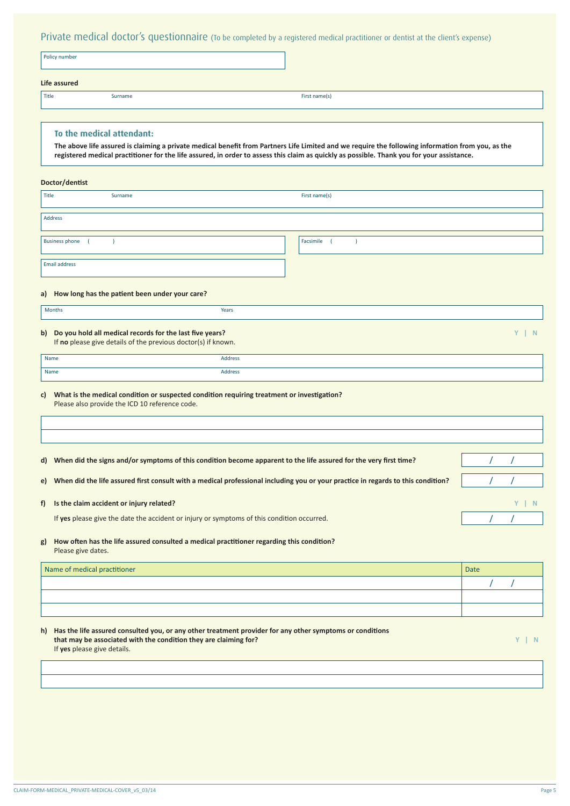Private medical doctor's questionnaire (To be completed by a registered medical practitioner or dentist at the client's expense)

|       | Policy number |               |  |
|-------|---------------|---------------|--|
|       | Life assured  |               |  |
| Title | Surname       | First name(s) |  |

### **To the medical attendant:**

The above life assured is claiming a private medical benefit from Partners Life Limited and we require the following information from you, as the registered medical practitioner for the life assured, in order to assess this claim as quickly as possible. Thank you for your assistance.

### **Doctor/dentist**

| Title                 | Surname | First name(s) |
|-----------------------|---------|---------------|
|                       |         |               |
| Address               |         |               |
| <b>Business phone</b> |         | Facsimile     |
| Email address         |         |               |

### **a) How long has the patient been under your care?**

| <b>Months</b> | Years<br>. |
|---------------|------------|
|               |            |

### **b)** Do you hold all medical records for the last five years? If **no** please give details of the previous doctor(s) if known.

| ٠ | ı<br>۷ |  |
|---|--------|--|
|   |        |  |
|   |        |  |

| <sup>1</sup> Name | Address      |
|-------------------|--------------|
| Name              | Address<br>. |

**c) What is the medical condition or suspected condition requiring treatment or investigation?** Please also provide the ICD 10 reference code.

| d) | When did the signs and/or symptoms of this condition become apparent to the life assured for the very first time?                |  |  |
|----|----------------------------------------------------------------------------------------------------------------------------------|--|--|
| e) | When did the life assured first consult with a medical professional including you or your practice in regards to this condition? |  |  |
| f) | Is the claim accident or injury related?                                                                                         |  |  |
|    | If yes please give the date the accident or injury or symptoms of this condition occurred.                                       |  |  |
| g) | How often has the life assured consulted a medical practitioner regarding this condition?                                        |  |  |

### Please give dates.

| Name of medical practitioner | <b>Date</b> |  |  |
|------------------------------|-------------|--|--|
|                              |             |  |  |
|                              |             |  |  |
|                              |             |  |  |
|                              |             |  |  |

h) Has the life assured consulted you, or any other treatment provider for any other symptoms or conditions **that may be associated with the condition they are claiming for? Y | N** If **yes** please give details.